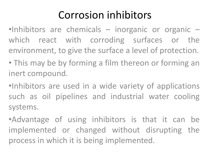#### Corrosion inhibitors

 $\bullet$ Inhibitors are chemicals – inorganic or organic – which react with corroding surfaces or the environment, to give the surface a level of protection.

- This may be by forming a film thereon or forming an inert compound.
- •Inhibitors are used in a wide variety of applications such as oil pipelines and industrial water cooling systems.
- •Advantage of using inhibitors is that it can be implemented or changed without disrupting the process in which it is being implemented.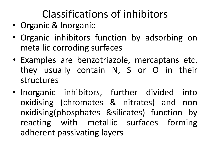## Classifications of inhibitors

- Organic & Inorganic
- Organic inhibitors function by adsorbing on metallic corroding surfaces
- Examples are benzotriazole, mercaptans etc. they usually contain N, S or O in their structures
- Inorganic inhibitors, further divided into oxidising (chromates & nitrates) and non oxidising(phosphates &silicates) function by reacting with metallic surfaces forming adherent passivating layers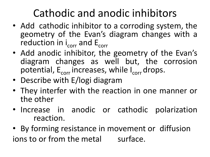## Cathodic and anodic inhibitors

- Add cathodic inhibitor to a corroding system, the geometry of the Evan's diagram changes with a reduction in i<sub>corr</sub> and E<sub>corr</sub>
- Add anodic inhibitor, the geometry of the Evan's diagram changes as well but, the corrosion potential, E<sub>corr</sub> increases, while I<sub>corr</sub> drops.
- Describe with E/logi diagram
- They interfer with the reaction in one manner or the other
- Increase in anodic or cathodic polarization reaction.
- By forming resistance in movement or diffusion ions to or from the metal surface.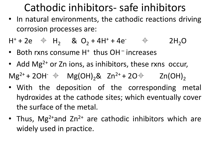#### Cathodic inhibitors- safe inhibitors

• In natural environments, the cathodic reactions driving corrosion processes are:

 $H^{+}$  + 2e  $\quad \oplus$  H<sub>2</sub> & O<sub>2</sub> + 4H<sup>+</sup> + 4e<sup>-</sup>  $\oplus$  2H<sub>2</sub>O

- Both rxns consume H<sup>+</sup> thus OH<sup>-</sup> increases
- Add Mg<sup>2+</sup> or Zn ions, as inhibitors, these rxns occur,  $Mg^{2+}$  + 2OH<sup>-</sup>  $\oint$   $Mg(OH)_2$ & Zn<sup>2+</sup> + 2O $\oint$  Zn(OH)<sub>2</sub>
- With the deposition of the corresponding metal hydroxides at the cathode sites; which eventually cover the surface of the metal.
- Thus, Mg<sup>2+</sup>and Zn<sup>2+</sup> are cathodic inhibitors which are widely used in practice.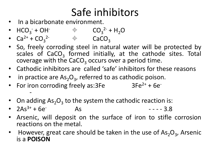## Safe inhibitors

- In a bicarbonate environment.
- $HCO_3^- + OH^ \qquad \qquad \oplus$   $CO_3^2^- + H_2O$
- $Ca^{2+} + CO_3^{2-}$   $\qquad \qquad \oplus$   $CaCO_3$
- So, freely corroding steel in natural water will be protected by scales of  $CaCO<sub>3</sub>$  formed initially, at the cathode sites. Total coverage with the CaCO<sub>3</sub> occurs over a period time.
- Cathodic inhibitors are called 'safe' inhibitors for these reasons
- in practice are  $As_2O_3$ , referred to as cathodic poison.
- For iron corroding freely as: $3Fe$  3Fe<sup>2+</sup> + 6e<sup>-</sup> -
- On adding  $As_2O_3$  to the system the cathodic reaction is:
- $2As^{3+} + 6e^{-}$ As  $- - - 3.8$
- Arsenic, will deposit on the surface of iron to stifle corrosion reactions on the metal.
- However, great care should be taken in the use of  $As_2O_3$ , Arsenic is a **POISON**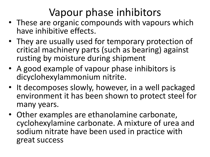## Vapour phase inhibitors

- These are organic compounds with vapours which have inhibitive effects.
- They are usually used for temporary protection of critical machinery parts (such as bearing) against rusting by moisture during shipment
- A good example of vapour phase inhibitors is dicyclohexylammonium nitrite.
- It decomposes slowly, however, in a well packaged environment it has been shown to protect steel for many years.
- Other examples are ethanolamine carbonate, cyclohexylamine carbonate. A mixture of urea and sodium nitrate have been used in practice with great success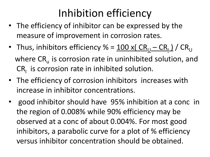#### Inhibition efficiency

- The efficiency of inhibitor can be expressed by the measure of improvement in corrosion rates.
- Thus, inhibitors efficiency % = <u>100 x(  $CR_{\underline{U}} CR_{\underline{I}}$  /</u>  $CR_{\underline{U}}$ where  $CR_{11}$  is corrosion rate in uninhibited solution, and  $CR<sub>1</sub>$  is corrosion rate in inhibited solution.
- The efficiency of corrosion inhibitors increases with increase in inhibitor concentrations.
- good inhibitor should have 95% inhibition at a conc in the region of 0.008% while 90% efficiency may be observed at a conc of about 0.004%. For most good inhibitors, a parabolic curve for a plot of % efficiency versus inhibitor concentration should be obtained.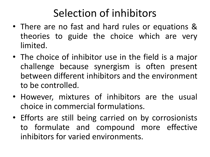#### Selection of inhibitors

- There are no fast and hard rules or equations & theories to guide the choice which are very limited.
- The choice of inhibitor use in the field is a major challenge because synergism is often present between different inhibitors and the environment to be controlled.
- However, mixtures of inhibitors are the usual choice in commercial formulations.
- Efforts are still being carried on by corrosionists to formulate and compound more effective inhibitors for varied environments.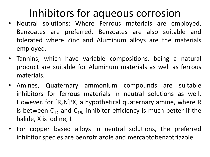#### Inhibitors for aqueous corrosion

- Neutral solutions: Where Ferrous materials are employed, Benzoates are preferred. Benzoates are also suitable and tolerated where Zinc and Aluminum alloys are the materials employed.
- Tannins, which have variable compositions, being a natural product are suitable for Aluminum materials as well as ferrous materials.
- Amines, Quaternary ammonium compounds are suitable inhibitors for ferrous materials in neutral solutions as well. However, for  $[R_{A}N]^+X$ , a hypothetical quaternary amine, where R is between  $C_{12}$  and  $C_{18}$ , inhibitor efficiency is much better if the halide, X is iodine, I.
- For copper based alloys in neutral solutions, the preferred inhibitor species are benzotriazole and mercaptobenzotriazole.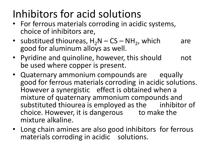## Inhibitors for acid solutions

- For ferrous materials corroding in acidic systems, choice of inhibitors are,
- substitued thioureas,  $H_2N CS NH_2$ , which are good for aluminum alloys as well.
- Pyridine and quinoline, however, this should and be used where copper is present.
- Quaternary ammonium compounds are equally good for ferrous materials corroding in acidic solutions. However a synergistic effect is obtained when a mixture of quaternary ammonium compounds and substituted thiourea is employed as the inhibitor of choice. However, it is dangerous to make the mixture alkaline.
- Long chain amines are also good inhibitors for ferrous materials corroding in acidic solutions.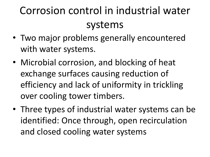# Corrosion control in industrial water systems

- Two major problems generally encountered with water systems.
- Microbial corrosion, and blocking of heat exchange surfaces causing reduction of efficiency and lack of uniformity in trickling over cooling tower timbers.
- Three types of industrial water systems can be identified: Once through, open recirculation and closed cooling water systems